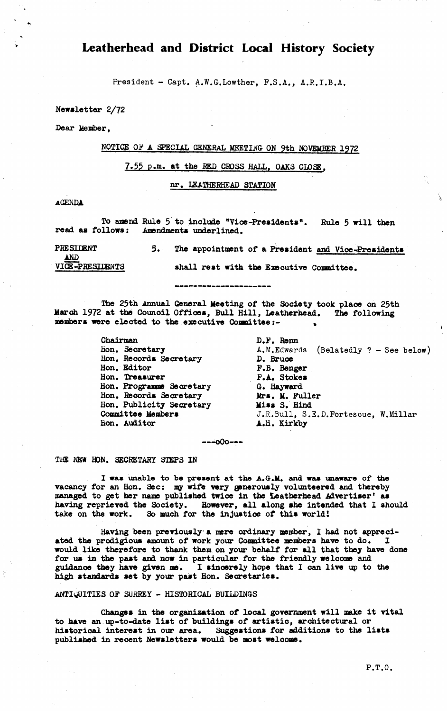**Leatherhead and District Local History Society**

**President - Capt. A.W.G.Lowther, F.S.A., A.R.I.B.A.**

**Newsletter 2/72**

**Dear Member,**

# **NOTICE OP A SPECIAL GENERAL MEETING ON 9th NOVKUHRR 1972**

**7.55 P.m. at the RED CROSS HALL, OAKS CLOSE.**

**nr. IEATHERHEAD STATION**

**AGENDA**

To amend Rule 5 to include "Vice-Presidents". Rule 5 will then<br>read as follows: Amendments underlined. Amendments underlined.

PRESIDENT 5. The appointment of a President and Vice-Presidents **AND**<br>**VICE-PRESILENTS** shall rest with the Executive Committee.

-------------------

**The 25th Annual General Meeting of the Society took plaoe on 25th March 1972 at the Counoil Offices, Bull Hill, Leatherhead. The following members were elected to the executive Conmittee:- ,**

> **Chairman Hon. Secretary Hon. Records Secretary Hon. Editor Hon. Treasurer Hon. Programme Secretary Hon. Records Secretary Hon. Publicity Secretary Committee Members Hon. Auditor**

**D.F. Renn A.M.Edwards (Belatedly ? - See below) D. Bruce F.B. Benger F.A. Stokes G. Hayward Mrs. M. Fuller Miss S. Hind J.R.Bull, S,E.D.Fortescue, W.Millar A.H. Kirkby**

**— -oOo—**

**THE NEW HON. SECRETARY STEPS IN**

**I was unable to be present at the A.G.M. and was unaware of the vacancy for an Hon. Sec: my wife very generously volunteered and thereby managed to get her name published twice in the Leatherhead Advertiser\* as having reprieved the Society. However, all along she intended that I should take on the work. So much for the injustice of this world!**

**Having been previously-a mere ordinary member, I had not appreciated the prodigious amount of work your Committee members have to do. I would like therefore to thank them on your behalf for all that they have done for us in the past and now in particular for the friendly welcome and guidance they have given me. I sinoerely hope that I can live up to the high standards set by your past Hon. Secretaries.**

**ANTIQUITIES OF SURREY - HISTORICAL BUILDINGS**

**Changes in the organization of local government will make it vital to have an up-to-date list of buildings of artistic, architectural or historical interest in our area. Suggestions for additions to the lists published in recent Newsletters would be most welcome.**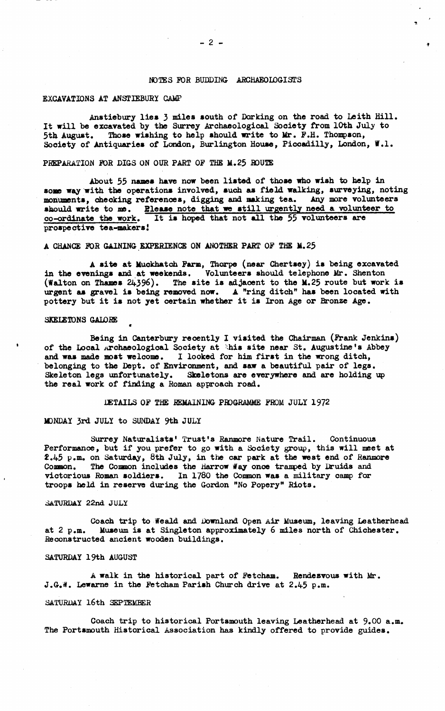## **NOTES FOR BUDDING ARCHAEOLOGISTS**

### **EXCAVATIONS AT ANSTIEBURI CAMP**

**Anstiebury lies 3 miles south of Dorking on the road to Leith Hill. It will be excavated by the Surrey Archaeological Society from 10th July to 5th August. Those wishing to help should write to Mr. F.H. Thompson, Society of Antiquaries of London, Burlington House, Picoadilly, London, V.l.**

# PREPARATION FOR DIGS ON OUR PART OF THE M.25 ROUTE

**About 55 names have now been listed of those who wish to help in some way with the operations involved, such as field walking, surveying, noting monuments, checking references, digging and making tea. Any more volunteers should write to me. Blease note that we still urgently need a volunteer to co-ordinate the work. It is hoped that not all the 55 volunteers are prospective tea-makers!**

# **A CHANCE FOR GAINING EXPERIENCE ON ANOTHER PART OF THE M.25**

**A site at Muckhatch Farm, Thorpe (near Chertsey) is being excavated in the evenings and at weekends. Volunteers should telephone Mr. Shenton (Walton on Thames 24.396). The site is adjacent to the M.25 route but work is urgent as gravel is being removed now. A "ring ditch" has been located with pottery but it is not yet certain whether it is Iron Age or Bronze Age.**

### **SKEIETONS GALORE**

**Being in Canterbury recently I visited the Chairman (Frank Jenkins)** of the Local Archaeological Society at this site near St. Augustine's Abbey **and was made most welcome. I looked for him first in the wrong ditch, belonging to the Dept, of Environment, and saw a beautiful pair of legs. Skeleton legs unfortunately. Skeletons are everywhere and are holding up the real work of finding a Roman approach road.**

# **DETAILS OF THE REMAINING PROGRAMME FROM JULY 1972**

#### **MONDAY 3rd JULY to SUNDAY 9th JULY**

«

**Surrey Naturalists' Trust's Ranmore Mature Trail. Continuous Performance, but if you prefer to go with a Society group, this will meet at £.45 p.m. on Saturday, 8th July, in the car park at the west end of Ranmore Cosnon. The Common includes the Harrow #ay once tramped by Druids and victorious Roman soldiers. In 1780 the Common was a military camp** *for* **troops held in reserve during the Gordon "No Popery" Riots.**

### **SATURDAY 22nd JULY**

**Coach trip to Weald and Downland Open Air Museum, leaving Leatherhead at 2 p.m. Museum is at Singleton approximately 6 miles north of Chichester. Reconstructed ancient wooden buildings.**

# **SATURDAY 19th AUGUST**

**A walk in the historical part of Fetcham. Rendezvous with Mr. J.G.W.** Lewarne in the Fetcham Parish Church drive at 2.45 p.m.

### **SATURDAY 16th SEPTEMBER**

**Coach trip to historical Portsmouth leaving Leatherhead at 9.00 a.m. The Portsmouth Historical Association has kindly offered to provide guides.**